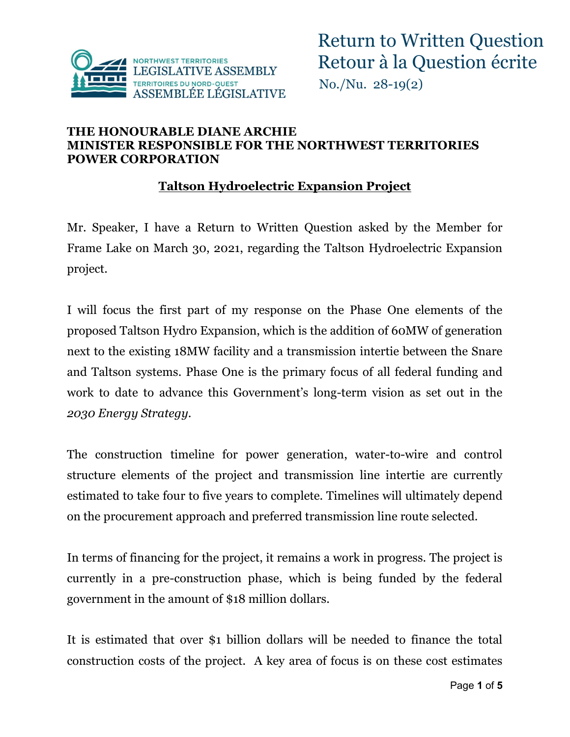

#### **THE HONOURABLE DIANE ARCHIE MINISTER RESPONSIBLE FOR THE NORTHWEST TERRITORIES POWER CORPORATION**

#### **Taltson Hydroelectric Expansion Project**

Mr. Speaker, I have a Return to Written Question asked by the Member for Frame Lake on March 30, 2021, regarding the Taltson Hydroelectric Expansion project.

I will focus the first part of my response on the Phase One elements of the proposed Taltson Hydro Expansion, which is the addition of 60MW of generation next to the existing 18MW facility and a transmission intertie between the Snare and Taltson systems. Phase One is the primary focus of all federal funding and work to date to advance this Government's long-term vision as set out in the *2030 Energy Strategy*.

The construction timeline for power generation, water-to-wire and control structure elements of the project and transmission line intertie are currently estimated to take four to five years to complete. Timelines will ultimately depend on the procurement approach and preferred transmission line route selected.

In terms of financing for the project, it remains a work in progress. The project is currently in a pre-construction phase, which is being funded by the federal government in the amount of \$18 million dollars.

It is estimated that over \$1 billion dollars will be needed to finance the total construction costs of the project. A key area of focus is on these cost estimates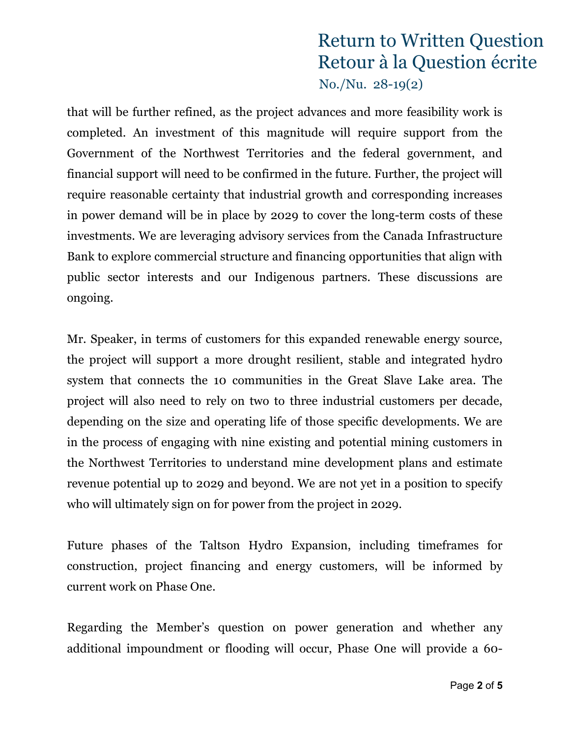that will be further refined, as the project advances and more feasibility work is completed. An investment of this magnitude will require support from the Government of the Northwest Territories and the federal government, and financial support will need to be confirmed in the future. Further, the project will require reasonable certainty that industrial growth and corresponding increases in power demand will be in place by 2029 to cover the long-term costs of these investments. We are leveraging advisory services from the Canada Infrastructure Bank to explore commercial structure and financing opportunities that align with public sector interests and our Indigenous partners. These discussions are ongoing.

Mr. Speaker, in terms of customers for this expanded renewable energy source, the project will support a more drought resilient, stable and integrated hydro system that connects the 10 communities in the Great Slave Lake area. The project will also need to rely on two to three industrial customers per decade, depending on the size and operating life of those specific developments. We are in the process of engaging with nine existing and potential mining customers in the Northwest Territories to understand mine development plans and estimate revenue potential up to 2029 and beyond. We are not yet in a position to specify who will ultimately sign on for power from the project in 2029.

Future phases of the Taltson Hydro Expansion, including timeframes for construction, project financing and energy customers, will be informed by current work on Phase One.

Regarding the Member's question on power generation and whether any additional impoundment or flooding will occur, Phase One will provide a 60-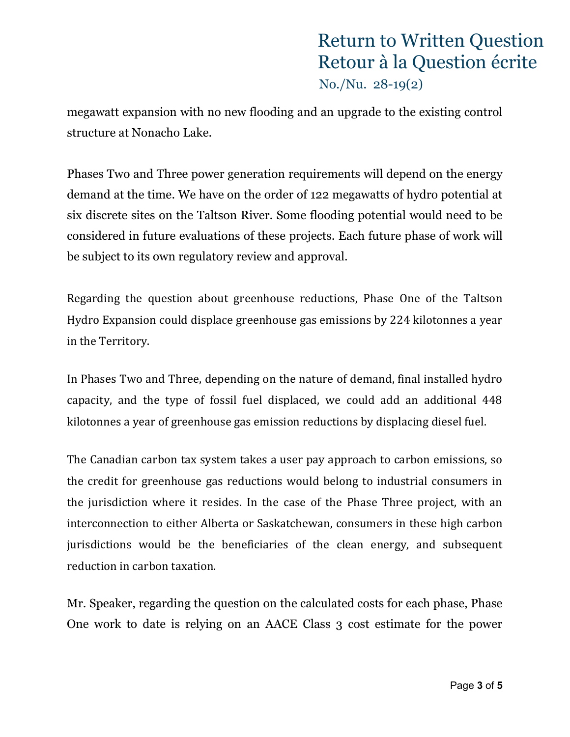megawatt expansion with no new flooding and an upgrade to the existing control structure at Nonacho Lake.

Phases Two and Three power generation requirements will depend on the energy demand at the time. We have on the order of 122 megawatts of hydro potential at six discrete sites on the Taltson River. Some flooding potential would need to be considered in future evaluations of these projects. Each future phase of work will be subject to its own regulatory review and approval.

Regarding the question about greenhouse reductions, Phase One of the Taltson Hydro Expansion could displace greenhouse gas emissions by 224 kilotonnes a year in the Territory.

In Phases Two and Three, depending on the nature of demand, final installed hydro capacity, and the type of fossil fuel displaced, we could add an additional 448 kilotonnes a year of greenhouse gas emission reductions by displacing diesel fuel.

The Canadian carbon tax system takes a user pay approach to carbon emissions, so the credit for greenhouse gas reductions would belong to industrial consumers in the jurisdiction where it resides. In the case of the Phase Three project, with an interconnection to either Alberta or Saskatchewan, consumers in these high carbon jurisdictions would be the beneficiaries of the clean energy, and subsequent reduction in carbon taxation.

Mr. Speaker, regarding the question on the calculated costs for each phase, Phase One work to date is relying on an AACE Class 3 cost estimate for the power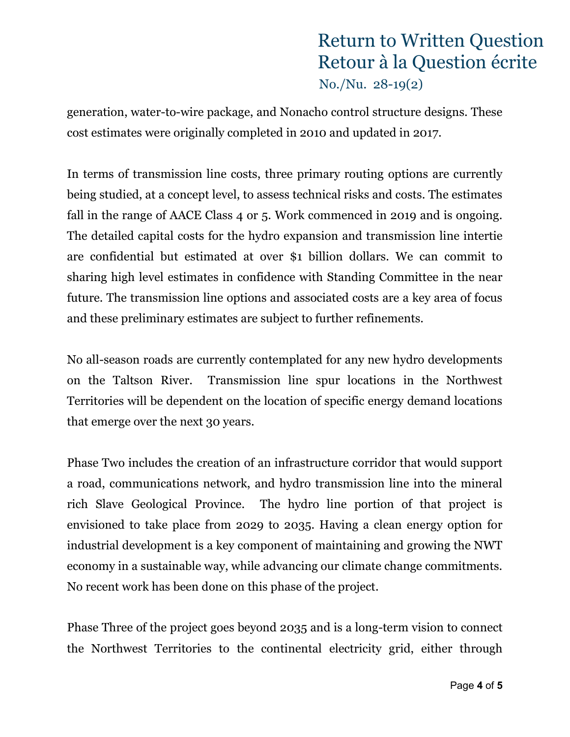generation, water-to-wire package, and Nonacho control structure designs. These cost estimates were originally completed in 2010 and updated in 2017.

In terms of transmission line costs, three primary routing options are currently being studied, at a concept level, to assess technical risks and costs. The estimates fall in the range of AACE Class 4 or 5. Work commenced in 2019 and is ongoing. The detailed capital costs for the hydro expansion and transmission line intertie are confidential but estimated at over \$1 billion dollars. We can commit to sharing high level estimates in confidence with Standing Committee in the near future. The transmission line options and associated costs are a key area of focus and these preliminary estimates are subject to further refinements.

No all-season roads are currently contemplated for any new hydro developments on the Taltson River. Transmission line spur locations in the Northwest Territories will be dependent on the location of specific energy demand locations that emerge over the next 30 years.

Phase Two includes the creation of an infrastructure corridor that would support a road, communications network, and hydro transmission line into the mineral rich Slave Geological Province. The hydro line portion of that project is envisioned to take place from 2029 to 2035. Having a clean energy option for industrial development is a key component of maintaining and growing the NWT economy in a sustainable way, while advancing our climate change commitments. No recent work has been done on this phase of the project.

Phase Three of the project goes beyond 2035 and is a long-term vision to connect the Northwest Territories to the continental electricity grid, either through